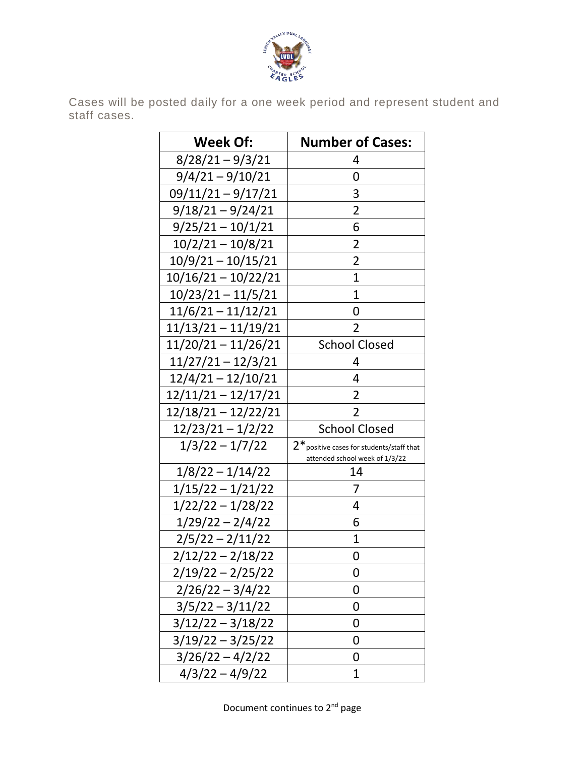

Cases will be posted daily for a one week period and represent student and staff cases.

| <b>Week Of:</b>       | <b>Number of Cases:</b>                      |
|-----------------------|----------------------------------------------|
| $8/28/21 - 9/3/21$    | 4                                            |
| $9/4/21 - 9/10/21$    | 0                                            |
| $09/11/21 - 9/17/21$  | 3                                            |
| $9/18/21 - 9/24/21$   | $\overline{2}$                               |
| $9/25/21 - 10/1/21$   | 6                                            |
| $10/2/21 - 10/8/21$   | 2                                            |
| $10/9/21 - 10/15/21$  | $\overline{\mathbf{c}}$                      |
| $10/16/21 - 10/22/21$ | $\overline{1}$                               |
| $10/23/21 - 11/5/21$  | $\overline{1}$                               |
| $11/6/21 - 11/12/21$  | 0                                            |
| $11/13/21 - 11/19/21$ | $\overline{2}$                               |
| $11/20/21 - 11/26/21$ | <b>School Closed</b>                         |
| $11/27/21 - 12/3/21$  | 4                                            |
| $12/4/21 - 12/10/21$  | 4                                            |
| $12/11/21 - 12/17/21$ | $\overline{2}$                               |
| 12/18/21 – 12/22/21   | 2                                            |
| 12/23/21 – 1/2/22     | <b>School Closed</b>                         |
| $1/3/22 - 1/7/22$     | $2^*$ positive cases for students/staff that |
|                       | attended school week of 1/3/22               |
| $1/8/22 - 1/14/22$    | 14<br>7                                      |
| 1/15/22 – 1/21/22     |                                              |
| $1/22/22 - 1/28/22$   | 4                                            |
| $1/29/22 - 2/4/22$    | 6<br>1                                       |
| $2/5/22 - 2/11/22$    |                                              |
| $2/12/22 - 2/18/22$   | 0                                            |
| $2/19/22 - 2/25/22$   | 0                                            |
| $2/26/22 - 3/4/22$    | 0                                            |
| $3/5/22 - 3/11/22$    | 0                                            |
| $3/12/22 - 3/18/22$   | 0                                            |
| $3/19/22 - 3/25/22$   | 0                                            |
| 3/26/22 – 4/2/22      | 0                                            |
| $4/3/22 - 4/9/22$     | 1                                            |

Document continues to 2nd page